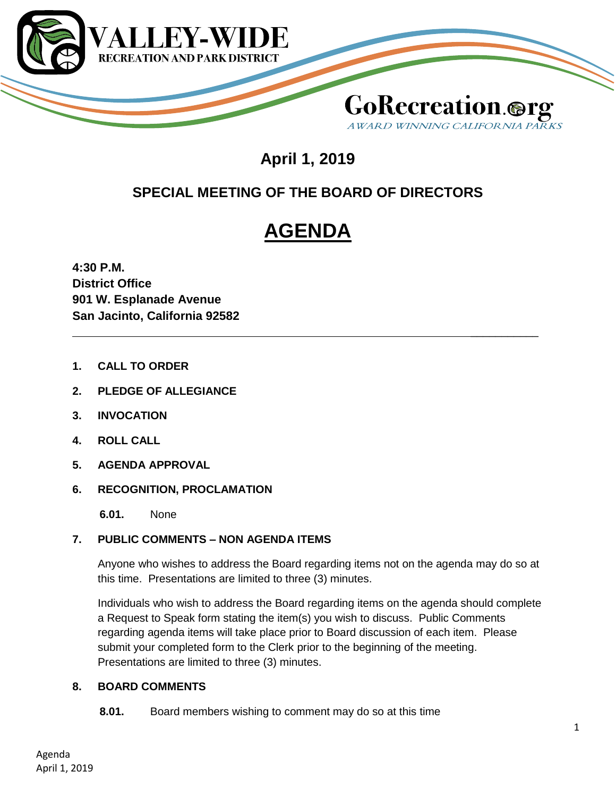

## **GoRecreation.@1** AWARD WINNING CALIFORNIA P.

\_\_\_\_\_\_\_\_\_\_\_

## **April 1, 2019**

### **SPECIAL MEETING OF THE BOARD OF DIRECTORS**

# **AGENDA**

**4:30 P.M. District Office 901 W. Esplanade Avenue San Jacinto, California 92582**

- **1. CALL TO ORDER**
- **2. PLEDGE OF ALLEGIANCE**
- **3. INVOCATION**
- **4. ROLL CALL**
- **5. AGENDA APPROVAL**
- **6. RECOGNITION, PROCLAMATION**
	- **6.01.** None

#### **7. PUBLIC COMMENTS – NON AGENDA ITEMS**

Anyone who wishes to address the Board regarding items not on the agenda may do so at this time. Presentations are limited to three (3) minutes.

Individuals who wish to address the Board regarding items on the agenda should complete a Request to Speak form stating the item(s) you wish to discuss. Public Comments regarding agenda items will take place prior to Board discussion of each item. Please submit your completed form to the Clerk prior to the beginning of the meeting. Presentations are limited to three (3) minutes.

#### **8. BOARD COMMENTS**

**8.01.** Board members wishing to comment may do so at this time